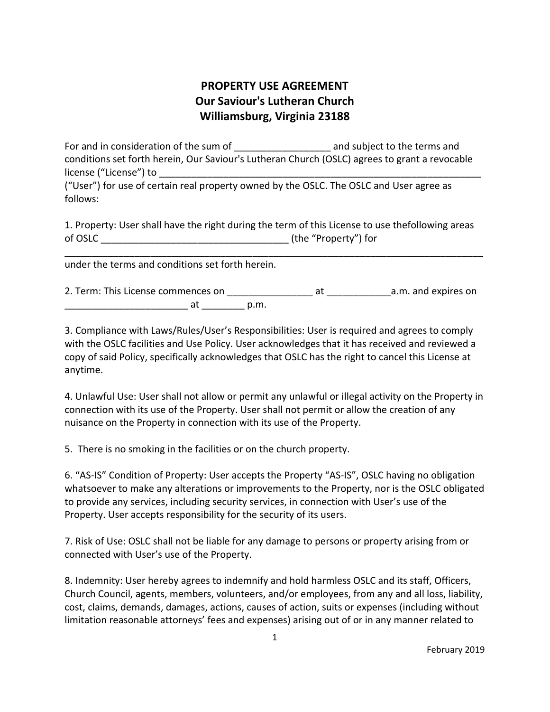## **PROPERTY USE AGREEMENT Our Saviour's Lutheran Church Williamsburg, Virginia 23188**

For and in consideration of the sum of \_\_\_\_\_\_\_\_\_\_\_\_\_\_\_\_\_\_\_\_\_\_\_ and subject to the terms and conditions set forth herein, Our Saviour's Lutheran Church (OSLC) agrees to grant a revocable license ("License") to ("User") for use of certain real property owned by the OSLC. The OSLC and User agree as follows:

1. Property: User shall have the right during the term of this License to use thefollowing areas of OSLC \_\_\_\_\_\_\_\_\_\_\_\_\_\_\_\_\_\_\_\_\_\_\_\_\_\_\_\_\_\_\_\_\_\_\_ (the "Property") for

\_\_\_\_\_\_\_\_\_\_\_\_\_\_\_\_\_\_\_\_\_\_\_\_\_\_\_\_\_\_\_\_\_\_\_\_\_\_\_\_\_\_\_\_\_\_\_\_\_\_\_\_\_\_\_\_\_\_\_\_\_\_\_\_\_\_\_\_\_\_\_\_\_\_\_\_\_\_ under the terms and conditions set forth herein.

2. Term: This License commences on \_\_\_\_\_\_\_\_\_\_\_\_\_\_\_\_ at \_\_\_\_\_\_\_\_\_\_\_\_a.m. and expires on \_\_\_\_\_\_\_\_\_\_\_\_\_\_\_\_\_\_\_\_\_\_\_ at \_\_\_\_\_\_\_\_ p.m.

3. Compliance with Laws/Rules/User's Responsibilities: User is required and agrees to comply with the OSLC facilities and Use Policy. User acknowledges that it has received and reviewed a copy of said Policy, specifically acknowledges that OSLC has the right to cancel this License at anytime.

4. Unlawful Use: User shall not allow or permit any unlawful or illegal activity on the Property in connection with its use of the Property. User shall not permit or allow the creation of any nuisance on the Property in connection with its use of the Property.

5. There is no smoking in the facilities or on the church property.

6. "AS‐IS" Condition of Property: User accepts the Property "AS‐IS", OSLC having no obligation whatsoever to make any alterations or improvements to the Property, nor is the OSLC obligated to provide any services, including security services, in connection with User's use of the Property. User accepts responsibility for the security of its users.

7. Risk of Use: OSLC shall not be liable for any damage to persons or property arising from or connected with User's use of the Property.

8. Indemnity: User hereby agrees to indemnify and hold harmless OSLC and its staff, Officers, Church Council, agents, members, volunteers, and/or employees, from any and all loss, liability, cost, claims, demands, damages, actions, causes of action, suits or expenses (including without limitation reasonable attorneys' fees and expenses) arising out of or in any manner related to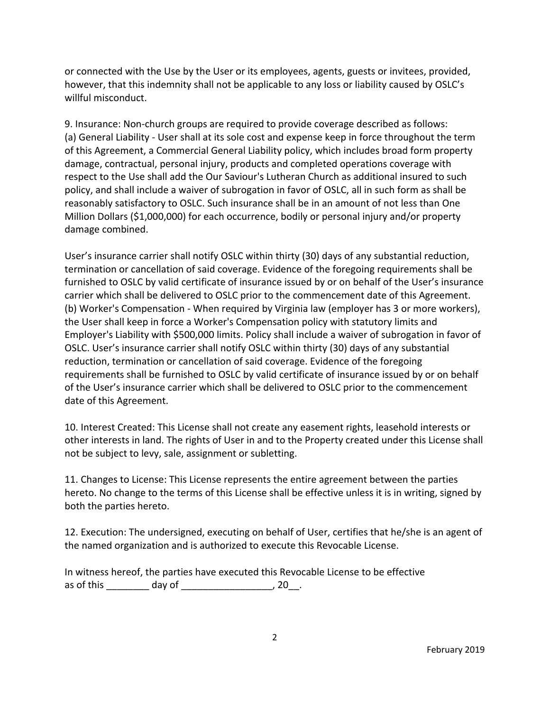or connected with the Use by the User or its employees, agents, guests or invitees, provided, however, that this indemnity shall not be applicable to any loss or liability caused by OSLC's willful misconduct.

9. Insurance: Non‐church groups are required to provide coverage described as follows: (a) General Liability ‐ User shall at its sole cost and expense keep in force throughout the term of this Agreement, a Commercial General Liability policy, which includes broad form property damage, contractual, personal injury, products and completed operations coverage with respect to the Use shall add the Our Saviour's Lutheran Church as additional insured to such policy, and shall include a waiver of subrogation in favor of OSLC, all in such form as shall be reasonably satisfactory to OSLC. Such insurance shall be in an amount of not less than One Million Dollars (\$1,000,000) for each occurrence, bodily or personal injury and/or property damage combined.

User's insurance carrier shall notify OSLC within thirty (30) days of any substantial reduction, termination or cancellation of said coverage. Evidence of the foregoing requirements shall be furnished to OSLC by valid certificate of insurance issued by or on behalf of the User's insurance carrier which shall be delivered to OSLC prior to the commencement date of this Agreement. (b) Worker's Compensation ‐ When required by Virginia law (employer has 3 or more workers), the User shall keep in force a Worker's Compensation policy with statutory limits and Employer's Liability with \$500,000 limits. Policy shall include a waiver of subrogation in favor of OSLC. User's insurance carrier shall notify OSLC within thirty (30) days of any substantial reduction, termination or cancellation of said coverage. Evidence of the foregoing requirements shall be furnished to OSLC by valid certificate of insurance issued by or on behalf of the User's insurance carrier which shall be delivered to OSLC prior to the commencement date of this Agreement.

10. Interest Created: This License shall not create any easement rights, leasehold interests or other interests in land. The rights of User in and to the Property created under this License shall not be subject to levy, sale, assignment or subletting.

11. Changes to License: This License represents the entire agreement between the parties hereto. No change to the terms of this License shall be effective unless it is in writing, signed by both the parties hereto.

12. Execution: The undersigned, executing on behalf of User, certifies that he/she is an agent of the named organization and is authorized to execute this Revocable License.

|            | In witness hereof, the parties have executed this Revocable License to be effective |             |  |
|------------|-------------------------------------------------------------------------------------|-------------|--|
| as of this | day of                                                                              | $\sim 20$ . |  |